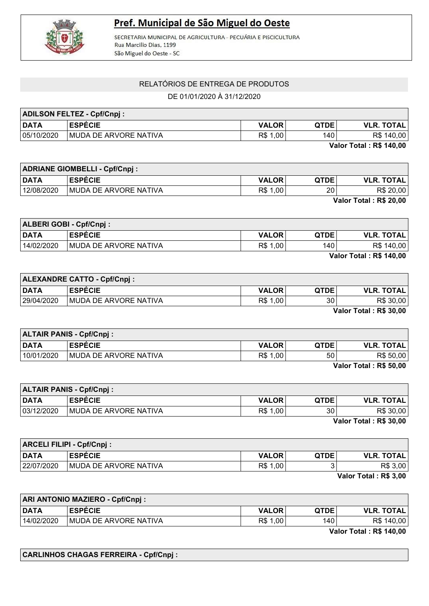

## Pref. Municipal de São Miguel do Oeste

SECRETARIA MUNICIPAL DE AGRICULTURA - PECUÁRIA E PISCICULTURA Rua Marcilio Dias, 1199 São Miguel do Oeste - SC

## RELATÓRIOS DE ENTREGA DE PRODUTOS

DE 01/01/2020 À 31/12/2020

| <b>ADILSON FELTEZ - Cpf/Cnpj:</b> |                               |              |             |                                                                                                                                                                                                                                                                                                                                    |
|-----------------------------------|-------------------------------|--------------|-------------|------------------------------------------------------------------------------------------------------------------------------------------------------------------------------------------------------------------------------------------------------------------------------------------------------------------------------------|
| <b>DATA</b>                       | <b>ESPÉCIE</b>                | <b>VALOR</b> | <b>QTDE</b> | <b>VLR. TOTAL</b>                                                                                                                                                                                                                                                                                                                  |
| 05/10/2020                        | <b>IMUDA DE ARVORE NATIVA</b> | R\$ 1,00     | 140         | R\$ 140,00                                                                                                                                                                                                                                                                                                                         |
|                                   |                               |              |             | $\mathbf{v}$ $\mathbf{v}$ $\mathbf{v}$ $\mathbf{v}$ $\mathbf{v}$ $\mathbf{v}$ $\mathbf{v}$ $\mathbf{v}$ $\mathbf{v}$ $\mathbf{v}$ $\mathbf{v}$ $\mathbf{v}$ $\mathbf{v}$ $\mathbf{v}$ $\mathbf{v}$ $\mathbf{v}$ $\mathbf{v}$ $\mathbf{v}$ $\mathbf{v}$ $\mathbf{v}$ $\mathbf{v}$ $\mathbf{v}$ $\mathbf{v}$ $\mathbf{v}$ $\mathbf{$ |

Valor Total : R\$ 140,00

| <b>ADRIANE GIOMBELLI - Cpf/Cnpj:</b> |                               |              |                 |                        |
|--------------------------------------|-------------------------------|--------------|-----------------|------------------------|
| <b>DATA</b>                          | <b>LESPÉCIE</b>               | <b>VALOR</b> | <b>QTDE</b>     | <b>VLR. TOTAL</b>      |
| 12/08/2020                           | <b>IMUDA DE ARVORE NATIVA</b> | R\$ 1,00     | 20 <sub>1</sub> | R\$ 20,00              |
|                                      |                               |              |                 | Valor Total: R\$ 20,00 |

| ALBERI GOBI - Cpf/Cnpj: |                               |              |             |                         |
|-------------------------|-------------------------------|--------------|-------------|-------------------------|
| <b>DATA</b>             | <b>ESPÉCIE</b>                | <b>VALOR</b> | <b>QTDE</b> | <b>VLR. TOTAL</b>       |
| 14/02/2020              | <b>IMUDA DE ARVORE NATIVA</b> | R\$ 1,00     | 140         | R\$ 140,00              |
|                         |                               |              |             | Valor Total . DC 440.00 |

Valor Total : R\$ 140,00

| <b>ALEXANDRE CATTO - Cpf/Cnpj:</b> |                               |              |             |                                     |
|------------------------------------|-------------------------------|--------------|-------------|-------------------------------------|
| <b>DATA</b>                        | <b>ESPECIE</b>                | <b>VALOR</b> | <b>QTDE</b> | <b>VLR. TOTAL</b>                   |
| 29/04/2020                         | <b>IMUDA DE ARVORE NATIVA</b> | R\$ 1,00     | 30          | R\$ 30,00                           |
|                                    |                               |              |             | $11 - 1 - 7 - 1 - 1 - 72 - 82 - 82$ |

Valor Total : R\$ 30,00

| <b>ALTAIR PANIS - Cpf/Cnpj:</b> |                               |              |             |                                                  |
|---------------------------------|-------------------------------|--------------|-------------|--------------------------------------------------|
| <b>DATA</b>                     | <b>ESPECIE</b>                | <b>VALOR</b> | <b>QTDE</b> | <b>VLR. TOTAL</b>                                |
| 10/01/2020                      | <b>IMUDA DE ARVORE NATIVA</b> | R\$ 1,00     | 50          | R\$ 50,00                                        |
|                                 |                               |              |             | $M_{\odot}$ is a transaction of the state $\sim$ |

Valor Total : R\$ 50,00

| <b>ALTAIR PANIS - Cpf/Cnpj:</b> |                               |              |             |                               |
|---------------------------------|-------------------------------|--------------|-------------|-------------------------------|
| <b>DATA</b>                     | <b>ESPÉCIE</b>                | <b>VALOR</b> | <b>QTDE</b> | <b>VLR. TOTAL</b>             |
| 03/12/2020                      | <b>IMUDA DE ARVORE NATIVA</b> | R\$ 1,00     | 30          | R\$ 30,00                     |
|                                 |                               |              |             | <b>Velas Tatal - Dê 90.00</b> |

| Valor Total: R\$ 30,00 |  |  |  |  |  |
|------------------------|--|--|--|--|--|
|------------------------|--|--|--|--|--|

| <b>ARCELI FILIPI - Cpf/Cnpj:</b> |                               |              |             |                                 |
|----------------------------------|-------------------------------|--------------|-------------|---------------------------------|
| <b>DATA</b>                      | <b>ESPECIE</b>                | <b>VALOR</b> | <b>QTDE</b> | <b>VLR. TOTAL</b>               |
| 22/07/2020                       | <b>IMUDA DE ARVORE NATIVA</b> | R\$ 1,00     |             | R\$ 3,00                        |
|                                  |                               |              |             | $M - L = T - L - L = R + R - R$ |

Valor Total : R\$ 3,00

| <b>ARI ANTONIO MAZIERO - Cpf/Cnpj:</b> |                        |              |             |                                                                                                                                                                                                                                                                                                                                    |
|----------------------------------------|------------------------|--------------|-------------|------------------------------------------------------------------------------------------------------------------------------------------------------------------------------------------------------------------------------------------------------------------------------------------------------------------------------------|
| <b>DATA</b>                            | <b>ESPÉCIE</b>         | <b>VALOR</b> | <b>QTDE</b> | <b>VLR. TOTAL</b>                                                                                                                                                                                                                                                                                                                  |
| 14/02/2020                             | IMUDA DE ARVORE NATIVA | R\$ 1,00     | 140         | R\$ 140,00                                                                                                                                                                                                                                                                                                                         |
|                                        |                        |              |             | $\mathbf{v}$ $\mathbf{v}$ $\mathbf{v}$ $\mathbf{v}$ $\mathbf{v}$ $\mathbf{v}$ $\mathbf{v}$ $\mathbf{v}$ $\mathbf{v}$ $\mathbf{v}$ $\mathbf{v}$ $\mathbf{v}$ $\mathbf{v}$ $\mathbf{v}$ $\mathbf{v}$ $\mathbf{v}$ $\mathbf{v}$ $\mathbf{v}$ $\mathbf{v}$ $\mathbf{v}$ $\mathbf{v}$ $\mathbf{v}$ $\mathbf{v}$ $\mathbf{v}$ $\mathbf{$ |

Valor Total : R\$ 140,00

CARLINHOS CHAGAS FERREIRA - Cpf/Cnpj :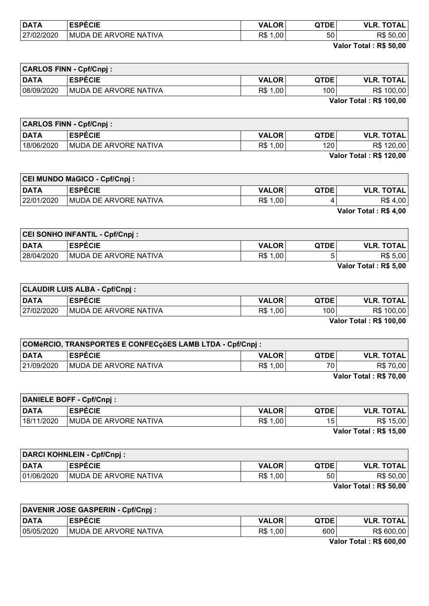| <b>DATA</b> | <b>FABRAIR</b><br>ヒしに                        | <b>OR</b><br>17 A       | QTDE<br>ч | -^ <del>-</del> ^'<br>VI R<br><b>AL</b> |
|-------------|----------------------------------------------|-------------------------|-----------|-----------------------------------------|
| 27/02/2020  | <b>NATIVA</b><br><b>MUDA</b><br>ARVORE<br>DЕ | R\$<br>.00 <sub>1</sub> | 50        | DФ<br>50,00<br>¬ა                       |

Valor Total : R\$ 50,00

 $\overline{\phantom{0}}$ 

| <b>CARLOS FINN - Cpf/Cnpj:</b> |                               |              |             |                                      |
|--------------------------------|-------------------------------|--------------|-------------|--------------------------------------|
| <b>DATA</b>                    | <b>ESPECIE</b>                | <b>VALOR</b> | <b>QTDE</b> | <b>VLR. TOTAL</b>                    |
| 08/09/2020                     | <b>IMUDA DE ARVORE NATIVA</b> | R\$ 1,00     | 100         | R\$ 100,00                           |
|                                |                               |              |             | $11 - 1 - 7 - 1 - 1 - 72 - 400 - 80$ |

Valor Total : R\$ 100,00

| <b>CARLOS FINN - Cpf/Cnpj:</b> |                               |              |             |                                                                    |
|--------------------------------|-------------------------------|--------------|-------------|--------------------------------------------------------------------|
| <b>DATA</b>                    | <b>ESPECIE</b>                | <b>VALOR</b> | <b>QTDE</b> | <b>VLR. TOTAL</b>                                                  |
| 18/06/2020                     | <b>IMUDA DE ARVORE NATIVA</b> | R\$ 1,00     | 120         | R\$ 120,00                                                         |
|                                |                               |              |             | $M_{\odot}$ $\sim$ T $\sim$ $L_{\odot}$ $\sim$ Dec. 400, 00 $\sim$ |

| <b>Valor Total: R\$ 120,00</b> |  |
|--------------------------------|--|
|--------------------------------|--|

|             | CEI MUNDO MáGICO - Cpf/Cnpj: |              |             |                   |
|-------------|------------------------------|--------------|-------------|-------------------|
| <b>DATA</b> | <b>ESPECIE</b>               | <b>VALOR</b> | <b>QTDE</b> | <b>VLR. TOTAL</b> |
| 22/01/2020  | MUDA DE ARVORE NATIVA        | R\$ 1,00     |             | R\$4,00           |
|             |                              |              |             | _ _<br>.          |

Valor Total : R\$ 4,00

|             | <b>CEI SONHO INFANTIL - Cpf/Cnpj:</b> |              |             |                                |
|-------------|---------------------------------------|--------------|-------------|--------------------------------|
| <b>DATA</b> | <b>ESPECIE</b>                        | <b>VALOR</b> | <b>QTDE</b> | <b>VLR. TOTAL</b>              |
| 28/04/2020  | MUDA DE ARVORE NATIVA                 | R\$ 1,00     | г.          | R\$ 5,00                       |
|             |                                       |              |             | $M = 1 - 7 - 1 - 1$ . De F.AA. |

Valor Total : R\$ 5,00

|             | <b>CLAUDIR LUIS ALBA - Cpf/Cnpj:</b> |              |             |                   |
|-------------|--------------------------------------|--------------|-------------|-------------------|
| <b>DATA</b> | <b>ESPÉCIE</b>                       | <b>VALOR</b> | <b>QTDE</b> | <b>VLR. TOTAL</b> |
| 27/02/2020  | IMUDA DE ARVORE NATIVA               | R\$ 1,00     | 100         | R\$ 100,00        |
|             |                                      |              |             | _ _               |

Valor Total : R\$ 100,00

| COMéRCIO, TRANSPORTES E CONFECçõES LAMB LTDA - Cpf/Cnpj : |                               |              |                 |                         |
|-----------------------------------------------------------|-------------------------------|--------------|-----------------|-------------------------|
| <b>DATA</b>                                               | <b>ESPÉCIE</b>                | <b>VALOR</b> | <b>QTDE</b>     | <b>VLR. TOTAL</b>       |
| 21/09/2020                                                | <b>IMUDA DE ARVORE NATIVA</b> | R\$ 1,00     | 70 <sub>1</sub> | R\$ 70,00               |
|                                                           |                               |              |                 | Valor Total : R\$ 70.00 |

Valor Total : R\$ 70,00

|             | DANIELE BOFF - Cpf/Cnpj: |              |                 |                        |
|-------------|--------------------------|--------------|-----------------|------------------------|
| <b>DATA</b> | <b>ESPECIE</b>           | <b>VALOR</b> | <b>QTDE</b>     | <b>VLR. TOTAL</b>      |
| 18/11/2020  | MUDA DE ARVORE NATIVA    | R\$ 1,00     | 15 <sub>1</sub> | R\$ 15,00              |
|             |                          |              |                 | Volor Total . DC 45 00 |

Valor Total : R\$ 15,00

| <b>DARCI KOHNLEIN - Cpf/Cnpj:</b> |                               |              |             |                                     |
|-----------------------------------|-------------------------------|--------------|-------------|-------------------------------------|
| <b>DATA</b>                       | <b>ESPÉCIE</b>                | <b>VALOR</b> | <b>QTDE</b> | <b>VLR. TOTAL,</b>                  |
| 01/06/2020                        | <b>IMUDA DE ARVORE NATIVA</b> | R\$ 1,00     | 50          | R\$ 50,00                           |
|                                   |                               |              |             | $M - L - T - L - L - R - R - R - R$ |

Valor Total : R\$ 50,00

| DAVENIR JOSE GASPERIN - Cpf/Cnpj: |                              |              |             |                   |
|-----------------------------------|------------------------------|--------------|-------------|-------------------|
| <b>DATA</b>                       | <b>ESPECIE</b>               | <b>VALOR</b> | <b>QTDE</b> | <b>VLR. TOTAL</b> |
| 05/05/2020                        | <b>MUDA DE ARVORE NATIVA</b> | R\$<br>1,00  | 600         | R\$ 600,00        |

Valor Total : R\$ 600,00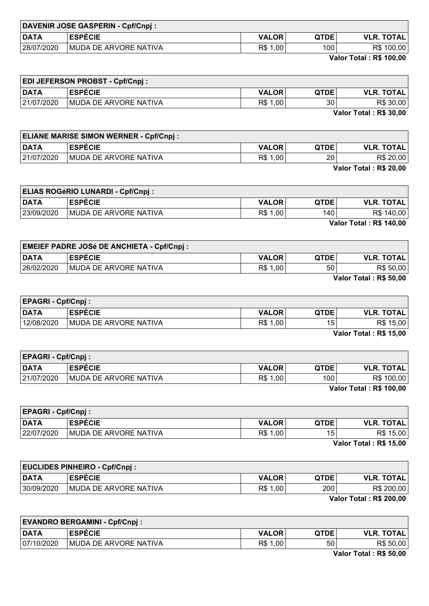|             | DAVENIR JOSE GASPERIN - Cpf/Cnpj: |              |             |                   |
|-------------|-----------------------------------|--------------|-------------|-------------------|
| <b>DATA</b> | <b>ESPECIE</b>                    | <b>VALOR</b> | <b>QTDE</b> | <b>VLR. TOTAL</b> |
| 28/07/2020  | MUDA DE ARVORE NATIVA             | R\$ 1,00     | 100         | R\$ 100,00        |

Valor Total : R\$ 100,00

| <b>EDI JEFERSON PROBST - Cpf/Cnpj:</b> |                       |              |             |                   |
|----------------------------------------|-----------------------|--------------|-------------|-------------------|
| <b>DATA</b>                            | <b>ESPECIE</b>        | <b>VALOR</b> | <b>QTDE</b> | <b>VLR. TOTAL</b> |
| 21/07/2020                             | MUDA DE ARVORE NATIVA | R\$ 1,00     | 30          | R\$ 30,00         |
|                                        |                       |              |             | ---               |

Valor Total : R\$ 30,00

|             | <b>ELIANE MARISE SIMON WERNER - Cpf/Cnpj:</b> |              |                 |                        |
|-------------|-----------------------------------------------|--------------|-----------------|------------------------|
| <b>DATA</b> | <b>ESPECIE</b>                                | <b>VALOR</b> | <b>QTDE</b>     | <b>VLR. TOTAL</b>      |
| 21/07/2020  | <b>IMUDA DE ARVORE NATIVA</b>                 | R\$ 1,00     | 20 <sub>1</sub> | R\$ 20,00              |
|             |                                               |              |                 | Valor Total: R\$ 20,00 |

|             | <b>ELIAS ROGÉRIO LUNARDI - Cpf/Cnpj:</b> |              |             |                                |
|-------------|------------------------------------------|--------------|-------------|--------------------------------|
| <b>DATA</b> | <b>ESPECIE</b>                           | <b>VALOR</b> | <b>QTDE</b> | <b>VLR. TOTAL</b>              |
| 23/09/2020  | MUDA DE ARVORE NATIVA                    | R\$ 1,00     | 140 l       | R\$ 140,00                     |
|             |                                          |              |             | <b>Valor Total: R\$ 140,00</b> |

| <b>EMEIEF PADRE JOSé DE ANCHIETA - Cpf/Cnpj :</b> |                        |              |                 |                                              |
|---------------------------------------------------|------------------------|--------------|-----------------|----------------------------------------------|
| <b>DATA</b>                                       | <b>ESPÉCIE</b>         | <b>VALOR</b> | <b>OTDE</b>     | <b>VLR. TOTAL</b>                            |
| 26/02/2020                                        | IMUDA DE ARVORE NATIVA | R\$ 1,00     | 50 <sup>°</sup> | R\$ 50,00                                    |
|                                                   |                        |              |                 | $\cdots$ $\cdots$ $\cdots$ $\cdots$ $\cdots$ |

Valor Total : R\$ 50,00

| <b>EPAGRI - Cpf/Cnpj:</b> |                               |              |             |                        |
|---------------------------|-------------------------------|--------------|-------------|------------------------|
| <b>DATA</b>               | <b>ESPECIE</b>                | <b>VALOR</b> | <b>QTDE</b> | <b>VLR. TOTAL</b>      |
| 12/08/2020                | <b>IMUDA DE ARVORE NATIVA</b> | R\$ 1,00     | 15          | R\$ 15,00              |
|                           |                               |              |             | Vales Tatal - Dê de An |

Valor Total : R\$ 15,00

| <b>EPAGRI - Cpf/Cnpj:</b> |                               |              |                   |                                     |
|---------------------------|-------------------------------|--------------|-------------------|-------------------------------------|
| <b>DATA</b>               | <b>ESPÉCIE</b>                | <b>VALOR</b> | QTDE <sup>1</sup> | <b>VLR. TOTAL</b>                   |
| 21/07/2020                | <b>IMUDA DE ARVORE NATIVA</b> | R\$ 1,00     | 100               | R\$ 100,00                          |
|                           |                               |              |                   | $V_{\text{min}}$ Tatal . De 400.00. |

Valor Total : R\$ 100,00

| <b>EPAGRI - Cpf/Cnpj:</b> |                               |              |             |                         |
|---------------------------|-------------------------------|--------------|-------------|-------------------------|
| <b>DATA</b>               | <b>ESPECIE</b>                | <b>VALOR</b> | <b>QTDE</b> | <b>VLR. TOTAL</b>       |
| 22/07/2020                | <b>IMUDA DE ARVORE NATIVA</b> | R\$ 1,00     | 15          | R\$ 15,00               |
|                           |                               |              |             | 17-1-- T-1-1 . DA 4F AA |

Valor Total : R\$ 15,00

| <b>EUCLIDES PINHEIRO - Cpf/Cnpj:</b> |                               |              |      |                         |
|--------------------------------------|-------------------------------|--------------|------|-------------------------|
| <b>DATA</b>                          | <b>ESPÉCIE</b>                | <b>VALOR</b> | QTDE | <b>VLR. TOTAL</b>       |
| 30/09/2020                           | <b>IMUDA DE ARVORE NATIVA</b> | R\$ 1,00     | 200  | R\$ 200,00              |
|                                      |                               |              |      | Velax Tatal . De 200.00 |

Valor Total : R\$ 200,00

| <b>EVANDRO BERGAMINI - Cpf/Cnpj:</b> |                               |              |             |                                     |
|--------------------------------------|-------------------------------|--------------|-------------|-------------------------------------|
| DATA                                 | <b>ESPECIE</b>                | <b>VALOR</b> | <b>QTDE</b> | <b>VLR. TOTAL</b>                   |
| 07/10/2020                           | <b>IMUDA DE ARVORE NATIVA</b> | R\$ 1,00     | 50          | R\$ 50,00                           |
|                                      |                               |              |             | $M - L - T - L - L - R - R - R - R$ |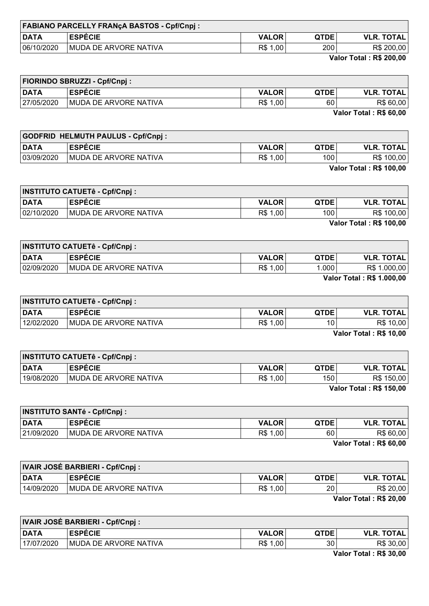| <b>FABIANO PARCELLY FRANÇA BASTOS - Cpf/Cnpj:</b> |                       |              |             |                   |
|---------------------------------------------------|-----------------------|--------------|-------------|-------------------|
| <b>DATA</b>                                       | <b>ESPECIE</b>        | <b>VALOR</b> | <b>QTDE</b> | <b>VLR. TOTAL</b> |
| 06/10/2020                                        | MUDA DE ARVORE NATIVA | R\$<br>1,00  | 200         | R\$ 200,00        |
|                                                   |                       |              |             |                   |

Valor Total : R\$ 200,00

| <b>FIORINDO SBRUZZI - Cpf/Cnpj:</b> |                               |              |             |                   |
|-------------------------------------|-------------------------------|--------------|-------------|-------------------|
| <b>DATA</b>                         | <b>ESPECIE</b>                | <b>VALOR</b> | <b>QTDE</b> | <b>VLR. TOTAL</b> |
| 27/05/2020                          | <b>IMUDA DE ARVORE NATIVA</b> | R\$ 1,00     | 60          | R\$ 60,00         |
|                                     |                               |              |             | _ _<br>---        |

Valor Total : R\$ 60,00

| <b>GODFRID HELMUTH PAULUS - Cpf/Cnpj:</b> |                        |              |             |                   |
|-------------------------------------------|------------------------|--------------|-------------|-------------------|
| <b>DATA</b>                               | <b>ESPECIE</b>         | <b>VALOR</b> | <b>QTDE</b> | <b>VLR. TOTAL</b> |
| 03/09/2020                                | IMUDA DE ARVORE NATIVA | R\$ 1,00     | 100         | R\$ 100,00        |
| <b>Valor Total: R\$ 100,00</b>            |                        |              |             |                   |

| <b>INSTITUTO CATUETê - Cpf/Cnpj :</b> |                       |              |             |                                |
|---------------------------------------|-----------------------|--------------|-------------|--------------------------------|
| <b>DATA</b>                           | <b>ESPECIE</b>        | <b>VALOR</b> | <b>QTDE</b> | <b>VLR. TOTAL</b>              |
| 02/10/2020                            | MUDA DE ARVORE NATIVA | R\$ 1,00     | 100         | R\$ 100,00                     |
|                                       |                       |              |             | <b>Valor Total: R\$ 100,00</b> |

| <b>INSTITUTO CATUETê - Cpf/Cnpj :</b> |                               |              |                |                                                                                                                                                                                                                                                                                                                                    |
|---------------------------------------|-------------------------------|--------------|----------------|------------------------------------------------------------------------------------------------------------------------------------------------------------------------------------------------------------------------------------------------------------------------------------------------------------------------------------|
| <b>DATA</b>                           | <b>ESPECIE</b>                | <b>VALOR</b> | <b>QTDE</b>    | <b>VLR. TOTAL</b>                                                                                                                                                                                                                                                                                                                  |
| 02/09/2020                            | <b>IMUDA DE ARVORE NATIVA</b> | R\$ 1,00     | $1.000$ $\mid$ | R\$ 1.000,00                                                                                                                                                                                                                                                                                                                       |
|                                       |                               |              |                | $\mathbf{v}$ $\mathbf{r}$ $\mathbf{r}$ $\mathbf{r}$ $\mathbf{r}$ $\mathbf{r}$ $\mathbf{r}$ $\mathbf{r}$ $\mathbf{r}$ $\mathbf{r}$ $\mathbf{r}$ $\mathbf{r}$ $\mathbf{r}$ $\mathbf{r}$ $\mathbf{r}$ $\mathbf{r}$ $\mathbf{r}$ $\mathbf{r}$ $\mathbf{r}$ $\mathbf{r}$ $\mathbf{r}$ $\mathbf{r}$ $\mathbf{r}$ $\mathbf{r}$ $\mathbf{$ |

Valor Total : R\$ 1.000,00

| <b>INSTITUTO CATUETê - Cpf/Cnpj :</b> |                               |              |             |                   |
|---------------------------------------|-------------------------------|--------------|-------------|-------------------|
| <b>DATA</b>                           | <b>ESPÉCIE</b>                | <b>VALOR</b> | <b>QTDE</b> | <b>VLR. TOTAL</b> |
| 12/02/2020                            | <b>IMUDA DE ARVORE NATIVA</b> | R\$ 1,00     | 10          | R\$ 10,00         |
| Volor Total : DC 40.00                |                               |              |             |                   |

Valor Total : R\$ 10,00

| <b>INSTITUTO CATUETê - Cpf/Cnpj :</b> |                               |              |             |                                |
|---------------------------------------|-------------------------------|--------------|-------------|--------------------------------|
| <b>DATA</b>                           | <b>ESPECIE</b>                | <b>VALOR</b> | <b>QTDE</b> | <b>VLR. TOTAL</b>              |
| 19/08/2020                            | <b>IMUDA DE ARVORE NATIVA</b> | R\$ 1,00     | 150         | R\$ 150,00                     |
|                                       |                               |              |             | <b>Valor Total: R\$ 150,00</b> |

| <b>INSTITUTO SANTé - Cpf/Cnpj :</b> |                               |              |             |                   |
|-------------------------------------|-------------------------------|--------------|-------------|-------------------|
| <b>DATA</b>                         | <b>ESPECIE</b>                | <b>VALOR</b> | <b>QTDE</b> | <b>VLR. TOTAL</b> |
| 21/09/2020                          | <b>IMUDA DE ARVORE NATIVA</b> | R\$ 1,00     | 60          | R\$ 60,00         |

Valor Total : R\$ 60,00

| <b>IVAIR JOSÉ BARBIERI - Cpf/Cnpj :</b> |                               |              |                 |                         |
|-----------------------------------------|-------------------------------|--------------|-----------------|-------------------------|
| <b>DATA</b>                             | <b>ESPECIE</b>                | <b>VALOR</b> | <b>QTDE</b>     | <b>VLR. TOTAL</b>       |
| 14/09/2020                              | <b>IMUDA DE ARVORE NATIVA</b> | R\$ 1,00     | 20 <sub>1</sub> | R\$ 20,00               |
|                                         |                               |              |                 | Velar Tatal - DÊ 20.00. |

Valor Total : R\$ 20,00

| <b>IVAIR JOSÉ BARBIERI - Cpf/Cnpj :</b> |                               |              |             |                                               |
|-----------------------------------------|-------------------------------|--------------|-------------|-----------------------------------------------|
| DATA                                    | <b>ESPÉCIE</b>                | <b>VALOR</b> | <b>QTDE</b> | <b>VLR. TOTAL</b>                             |
| 17/07/2020                              | <b>IMUDA DE ARVORE NATIVA</b> | R\$ 1,00     | 30          | R\$ 30,00                                     |
|                                         |                               |              |             | $M_{\odot}$ is a finite in the case of $\sim$ |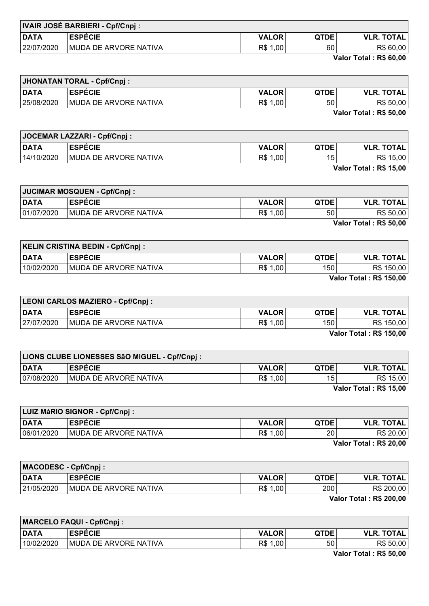| <b>IVAIR JOSÉ BARBIERI - Cpf/Cnpj:</b> |                               |              |             |                   |
|----------------------------------------|-------------------------------|--------------|-------------|-------------------|
| <b>DATA</b>                            | <b>ESPECIE</b>                | <b>VALOR</b> | <b>QTDE</b> | <b>VLR. TOTAL</b> |
| 22/07/2020                             | <b>IMUDA DE ARVORE NATIVA</b> | R\$ 1,00     | 60          | R\$ 60,00         |

Valor Total : R\$ 60,00

| <b>JHONATAN TORAL - Cpf/Cnpj:</b> |                       |              |                 |                   |
|-----------------------------------|-----------------------|--------------|-----------------|-------------------|
| <b>DATA</b>                       | <b>ESPECIE</b>        | <b>VALOR</b> | <b>QTDE</b>     | <b>VLR. TOTAL</b> |
| 25/08/2020                        | MUDA DE ARVORE NATIVA | R\$ 1,00     | 50 <sup>°</sup> | R\$ 50,00         |
|                                   |                       |              |                 |                   |

Valor Total : R\$ 50,00

| JOCEMAR LAZZARI - Cpf/Cnpj: |                        |              |                 |                   |
|-----------------------------|------------------------|--------------|-----------------|-------------------|
| <b>DATA</b>                 | <b>ESPECIE</b>         | <b>VALOR</b> | <b>QTDE</b>     | <b>VLR. TOTAL</b> |
| 14/10/2020                  | IMUDA DE ARVORE NATIVA | R\$ 1,00     | 15 <sub>1</sub> | R\$ 15,00         |
| Valor Total: R\$ 15,00      |                        |              |                 |                   |

JUCIMAR MOSQUEN - Cpf/Cnpj : DATA ESPÉCIE VALOR QTDE VLR. TOTAL

| 01/07/2020 | <b>MUDA DE ARVORE NATIVA</b> | R\$ 1,00 | 50 | R\$ 50,00              |
|------------|------------------------------|----------|----|------------------------|
|            |                              |          |    | Valor Total: R\$ 50,00 |
|            |                              |          |    |                        |

| <b>KELIN CRISTINA BEDIN - Cpf/Cnpj:</b> |                       |                 |                  |                   |  |
|-----------------------------------------|-----------------------|-----------------|------------------|-------------------|--|
| <b>DATA</b>                             | <b>ESPÉCIE</b>        | <b>VALOR</b>    | <b>QTDE</b>      | <b>VLR. TOTAL</b> |  |
| 10/02/2020                              | MUDA DE ARVORE NATIVA | R\$ 1,00        | 150 <sub>1</sub> | R\$ 150,00        |  |
|                                         |                       | $       -$<br>. |                  |                   |  |

Valor Total : R\$ 150,00

| <b>LEONI CARLOS MAZIERO - Cpf/Cnpj:</b> |                               |              |             |                   |
|-----------------------------------------|-------------------------------|--------------|-------------|-------------------|
| <b>DATA</b>                             | <b>ESPECIE</b>                | <b>VALOR</b> | <b>QTDE</b> | <b>VLR. TOTAL</b> |
| 27/07/2020                              | <b>IMUDA DE ARVORE NATIVA</b> | R\$ 1,00     | 150         | R\$ 150,00        |
| Valor Total . DC 150.00                 |                               |              |             |                   |

Valor Total : R\$ 150,00

| LIONS CLUBE LIONESSES SãO MIGUEL - Cpf/Cnpj : |                               |              |             |                        |
|-----------------------------------------------|-------------------------------|--------------|-------------|------------------------|
| <b>DATA</b>                                   | <b>ESPECIE</b>                | <b>VALOR</b> | <b>QTDE</b> | <b>VLR. TOTAL.</b>     |
| 07/08/2020                                    | <b>IMUDA DE ARVORE NATIVA</b> | R\$ 1,00     | 15          | R\$ 15,00              |
|                                               |                               |              |             | Velax Tatal : DC 45 00 |

Valor Total : R\$ 15,00

| LUIZ MáRIO SIGNOR - Cpf/Cnpj: |                       |              |                 |                   |
|-------------------------------|-----------------------|--------------|-----------------|-------------------|
| <b>DATA</b>                   | <b>ESPÉCIE</b>        | <b>VALOR</b> | <b>QTDE</b>     | <b>VLR. TOTAL</b> |
| 06/01/2020                    | MUDA DE ARVORE NATIVA | R\$ 1,00     | 20 <sup>°</sup> | R\$ 20,00         |
|                               |                       |              |                 | $       -$<br>.   |

Valor Total : R\$ 20,00

| MACODESC - Cpf/Cnpj:     |                               |              |             |                   |
|--------------------------|-------------------------------|--------------|-------------|-------------------|
| <b>DATA</b>              | <b>ESPÉCIE</b>                | <b>VALOR</b> | <b>QTDE</b> | <b>VLR. TOTAL</b> |
| 21/05/2020               | <b>IMUDA DE ARVORE NATIVA</b> | R\$ 1,00     | 200         | R\$ 200,00        |
| Velor Tatal - Dê 200.00. |                               |              |             |                   |

Valor Total : R\$ 200,00

| <b>MARCELO FAQUI - Cpf/Cnpj:</b> |                        |              |             |                   |
|----------------------------------|------------------------|--------------|-------------|-------------------|
| <b>DATA</b>                      | <b>ESPECIE</b>         | <b>VALOR</b> | <b>QTDE</b> | <b>VLR. TOTAL</b> |
| 10/02/2020                       | IMUDA DE ARVORE NATIVA | R\$ 1,00     | 50          | R\$ 50,00         |
|                                  |                        |              |             | ----------        |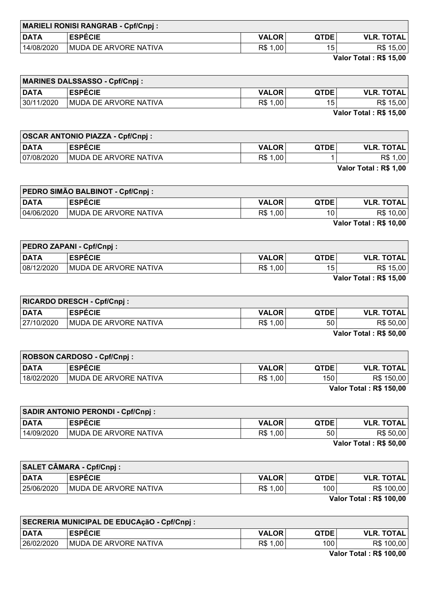| <b>MARIELI RONISI RANGRAB - Cpf/Cnpj:</b> |                       |              |             |                   |
|-------------------------------------------|-----------------------|--------------|-------------|-------------------|
| <b>DATA</b>                               | <b>ESPECIE</b>        | <b>VALOR</b> | <b>QTDE</b> | <b>VLR. TOTAL</b> |
| 14/08/2020                                | MUDA DE ARVORE NATIVA | R\$<br>1,00  | 15          | R\$ 15,00         |

Valor Total : R\$ 15,00

| <b>MARINES DALSSASSO - Cpf/Cnpj:</b> |                       |              |                 |                   |
|--------------------------------------|-----------------------|--------------|-----------------|-------------------|
| <b>DATA</b>                          | <b>ESPECIE</b>        | <b>VALOR</b> | <b>QTDE</b>     | <b>VLR. TOTAL</b> |
| 30/11/2020                           | MUDA DE ARVORE NATIVA | R\$ 1,00     | 15 <sub>1</sub> | R\$ 15,00         |
|                                      |                       |              |                 | ---               |

Valor Total : R\$ 15,00

| <b>OSCAR ANTONIO PIAZZA - Cpf/Cnpj:</b> |              |             |                   |
|-----------------------------------------|--------------|-------------|-------------------|
| <b>ESPECIE</b>                          | <b>VALOR</b> | <b>QTDE</b> | <b>VLR. TOTAL</b> |
| MUDA DE ARVORE NATIVA                   | R\$ 1,00     |             | R\$<br>ا 00,      |
|                                         |              |             | .                 |

Valor Total : R\$ 1,00

| PEDRO SIMÃO BALBINOT - Cpf/Cnpj : |                       |              |             |                        |
|-----------------------------------|-----------------------|--------------|-------------|------------------------|
| <b>DATA</b>                       | <b>ESPECIE</b>        | <b>VALOR</b> | <b>QTDE</b> | <b>VLR. TOTAL</b>      |
| 04/06/2020                        | MUDA DE ARVORE NATIVA | R\$ 1,00     | 10          | R\$ 10,00              |
|                                   |                       |              |             | Valor Total: R\$ 10,00 |

| <b>PEDRO ZAPANI - Cpf/Cnpj:</b> |                        |              |                 |                   |
|---------------------------------|------------------------|--------------|-----------------|-------------------|
| <b>DATA</b>                     | <b>ESPECIE</b>         | <b>VALOR</b> | <b>QTDE</b>     | <b>VLR. TOTAL</b> |
| 08/12/2020                      | IMUDA DE ARVORE NATIVA | R\$ 1,00     | 15 <sub>1</sub> | R\$ 15,00         |
|                                 |                        |              |                 | ---               |

Valor Total : R\$ 15,00

| <b>RICARDO DRESCH - Cpf/Cnpj:</b> |                               |              |             |                        |
|-----------------------------------|-------------------------------|--------------|-------------|------------------------|
| <b>DATA</b>                       | <b>ESPECIE</b>                | <b>VALOR</b> | <b>QTDE</b> | <b>VLR. TOTAL</b>      |
| 27/10/2020                        | <b>IMUDA DE ARVORE NATIVA</b> | R\$ 1,00     | 50          | R\$ 50,00              |
|                                   |                               |              |             | Velax Tatal : DC EO OO |

Valor Total : R\$ 50,00

| <b>ROBSON CARDOSO - Cpf/Cnpj:</b> |                        |              |             |                      |
|-----------------------------------|------------------------|--------------|-------------|----------------------|
| <b>DATA</b>                       | <b>ESPECIE</b>         | <b>VALOR</b> | <b>QTDE</b> | <b>VLR. TOTAL</b>    |
| 18/02/2020                        | IMUDA DE ARVORE NATIVA | R\$ 1,00     | 150         | R\$ 150,00           |
|                                   |                        |              |             | _ _ _ . _ _ _ _<br>. |

Valor Total : R\$ 150,00

| <b>SADIR ANTONIO PERONDI - Cpf/Cnpj:</b> |                               |              |             |                   |
|------------------------------------------|-------------------------------|--------------|-------------|-------------------|
| <b>DATA</b>                              | <b>ESPÉCIE</b>                | <b>VALOR</b> | <b>QTDE</b> | <b>VLR. TOTAL</b> |
| 14/09/2020                               | <b>IMUDA DE ARVORE NATIVA</b> | R\$ 1,00     | 50          | R\$ 50,00         |
|                                          |                               |              |             | ------<br>___     |

Valor Total : R\$ 50,00

| <b>SALET CÂMARA - Cpf/Cnpj:</b> |                               |              |      |                   |
|---------------------------------|-------------------------------|--------------|------|-------------------|
| DATA                            | <b>ESPÉCIE</b>                | <b>VALOR</b> | QTDE | <b>VLR. TOTAL</b> |
| 25/06/2020                      | <b>IMUDA DE ARVORE NATIVA</b> | R\$ 1,00     | 100  | R\$ 100,00        |
| Velay Tatal . DC 400.00         |                               |              |      |                   |

Valor Total : R\$ 100,00

| SECRERIA MUNICIPAL DE EDUCAçãO - Cpf/Cnpj : |                       |              |             |                         |
|---------------------------------------------|-----------------------|--------------|-------------|-------------------------|
| <b>DATA</b>                                 | <b>ESPECIE</b>        | <b>VALOR</b> | <b>QTDE</b> | <b>VLR. TOTAL</b>       |
| 26/02/2020                                  | MUDA DE ARVORE NATIVA | R\$ 1,00     | 1001        | R\$ 100,00              |
|                                             |                       |              |             | Velax Tatal : DC 400.00 |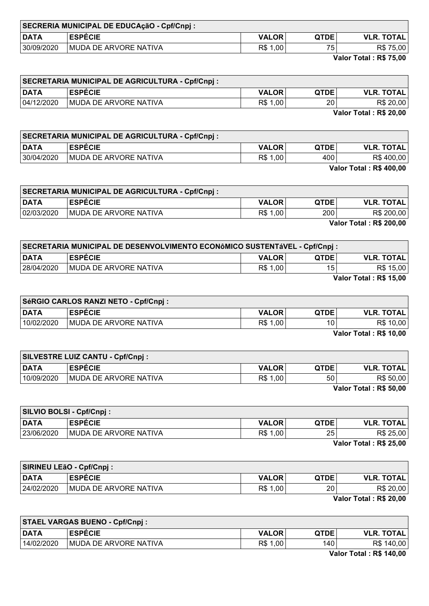| SECRERIA MUNICIPAL DE EDUCAçãO - Cpf/Cnpj : |                        |              |             |                   |
|---------------------------------------------|------------------------|--------------|-------------|-------------------|
| <b>DATA</b>                                 | <b>ESPECIE</b>         | <b>VALOR</b> | <b>QTDE</b> | <b>VLR. TOTAL</b> |
| 30/09/2020                                  | IMUDA DE ARVORE NATIVA | R\$ 1,00     | 75          | R\$ 75,00         |

Valor Total : R\$ 75,00

|             | <b>SECRETARIA MUNICIPAL DE AGRICULTURA - Cpf/Cnpj :</b> |              |             |                   |
|-------------|---------------------------------------------------------|--------------|-------------|-------------------|
| <b>DATA</b> | <b>ESPECIE</b>                                          | <b>VALOR</b> | <b>QTDE</b> | <b>VLR. TOTAL</b> |
| 04/12/2020  | <b>MUDA DE ARVORE NATIVA</b>                            | R\$ 1,00     | 20          | R\$ 20,00         |
|             |                                                         |              |             | ----------        |

Valor Total : R\$ 20,00

|             | <b>SECRETARIA MUNICIPAL DE AGRICULTURA - Cpf/Cnpj :</b> |              |             |                                |
|-------------|---------------------------------------------------------|--------------|-------------|--------------------------------|
| <b>DATA</b> | <b>ESPECIE</b>                                          | <b>VALOR</b> | <b>QTDE</b> | <b>VLR. TOTAL</b>              |
| 30/04/2020  | MUDA DE ARVORE NATIVA                                   | R\$ 1,00     | 400         | R\$ 400,00                     |
|             |                                                         |              |             | <b>Valor Total: R\$ 400,00</b> |

|             | <b>SECRETARIA MUNICIPAL DE AGRICULTURA - Cpf/Cnpj :</b> |              |             |                                |
|-------------|---------------------------------------------------------|--------------|-------------|--------------------------------|
| <b>DATA</b> | <b>ESPECIE</b>                                          | <b>VALOR</b> | <b>QTDE</b> | <b>VLR. TOTAL</b>              |
| 02/03/2020  | MUDA DE ARVORE NATIVA                                   | R\$ 1,00     | 200         | R\$ 200,00                     |
|             |                                                         |              |             | <b>Valor Total: R\$ 200,00</b> |

| SECRETARIA MUNICIPAL DE DESENVOLVIMENTO ECONôMICO SUSTENTáVEL - Cpf/Cnpj : |                               |              |                 |                   |
|----------------------------------------------------------------------------|-------------------------------|--------------|-----------------|-------------------|
| <b>DATA</b>                                                                | <b>ESPECIE</b>                | <b>VALOR</b> | <b>QTDE</b>     | <b>VLR. TOTAL</b> |
| 28/04/2020                                                                 | <b>IMUDA DE ARVORE NATIVA</b> | R\$ 1,00     | 15 <sub>1</sub> | R\$ 15,00         |
|                                                                            |                               |              |                 | ----              |

Valor Total : R\$ 15,00

| SéRGIO CARLOS RANZI NETO - Cpf/Cnpj : |                               |              |                 |                        |
|---------------------------------------|-------------------------------|--------------|-----------------|------------------------|
| <b>DATA</b>                           | <b>LESPECIE</b>               | <b>VALOR</b> | <b>QTDE</b>     | <b>VLR. TOTAL</b>      |
| 10/02/2020                            | <b>IMUDA DE ARVORE NATIVA</b> | R\$ 1,00     | 10 <sub>1</sub> | R\$ 10,00              |
|                                       |                               |              |                 | Velax Tatal : DC 40.00 |

Valor Total : R\$ 10,00

| <b>SILVESTRE LUIZ CANTU - Cpf/Cnpj :</b> |                        |              |             |                                           |
|------------------------------------------|------------------------|--------------|-------------|-------------------------------------------|
| <b>DATA</b>                              | <b>ESPECIE</b>         | <b>VALOR</b> | <b>QTDE</b> | <b>VLR. TOTAL</b>                         |
| 10/09/2020                               | IMUDA DE ARVORE NATIVA | R\$ 1,00     | 50          | R\$ 50,00                                 |
|                                          |                        |              |             | $V = L \cdot T + L$ , $R \cdot R \cdot R$ |

Valor Total : R\$ 50,00

|             | SILVIO BOLSI - Cpf/Cnpj:      |              |             |                       |
|-------------|-------------------------------|--------------|-------------|-----------------------|
| <b>DATA</b> | <b>ESPECIE</b>                | <b>VALOR</b> | <b>QTDE</b> | <b>VLR. TOTAL</b>     |
| 23/06/2020  | <b>IMUDA DE ARVORE NATIVA</b> | R\$ 1,00     | 25          | R\$ 25,00             |
|             |                               |              |             | $-1 - -1$<br>___<br>. |

Valor Total : R\$ 25,00

| SIRINEU LEãO - Cpf/Cnpj: |                               |              |             |                        |
|--------------------------|-------------------------------|--------------|-------------|------------------------|
| DATA                     | <b>ESPÉCIE</b>                | <b>VALOR</b> | <b>QTDE</b> | <b>VLR. TOTAL</b>      |
| 24/02/2020               | <b>IMUDA DE ARVORE NATIVA</b> | R\$ 1,00     | 20          | R\$ 20,00              |
|                          |                               |              |             | Volor Total + DC 20.00 |

Valor Total : R\$ 20,00

| <b>STAEL VARGAS BUENO - Cpf/Cnpj:</b> |                               |              |             |                                       |
|---------------------------------------|-------------------------------|--------------|-------------|---------------------------------------|
| <b>DATA</b>                           | <b>ESPÉCIE</b>                | <b>VALOR</b> | <b>QTDE</b> | <b>VLR. TOTAL</b>                     |
| 14/02/2020                            | <b>IMUDA DE ARVORE NATIVA</b> | R\$ 1,00     | 140         | R\$ 140,00                            |
|                                       |                               |              |             | $M - L - T - L - L - R - A + R - R -$ |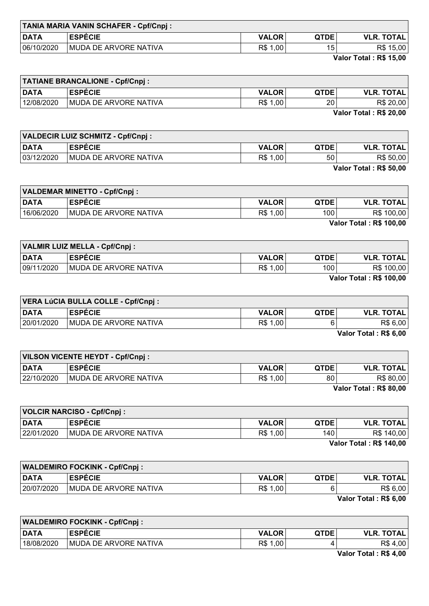| <b>TANIA MARIA VANIN SCHAFER - Cpf/Cnpj:</b> |              |             |                   |
|----------------------------------------------|--------------|-------------|-------------------|
| <b>ESPECIE</b>                               | <b>VALOR</b> | <b>QTDE</b> | <b>VLR. TOTAL</b> |
| MUDA DE ARVORE NATIVA                        | R\$<br>1,00  | 15          | R\$ 15,00         |
|                                              |              |             |                   |

Valor Total : R\$ 15,00

| <b>TATIANE BRANCALIONE - Cpf/Cnpj:</b> |                       |              |             |                   |
|----------------------------------------|-----------------------|--------------|-------------|-------------------|
| <b>DATA</b>                            | <b>ESPECIE</b>        | <b>VALOR</b> | <b>QTDE</b> | <b>VLR. TOTAL</b> |
| 12/08/2020                             | MUDA DE ARVORE NATIVA | R\$ 1,00     | 20          | R\$ 20,00         |
|                                        |                       |              |             | .                 |

Valor Total : R\$ 20,00

| <b>VALDECIR LUIZ SCHMITZ - Cpf/Cnpj:</b> |                       |              |                 |                        |
|------------------------------------------|-----------------------|--------------|-----------------|------------------------|
| <b>DATA</b>                              | <b>ESPECIE</b>        | <b>VALOR</b> | <b>QTDE</b>     | <b>VLR. TOTAL</b>      |
| 03/12/2020                               | MUDA DE ARVORE NATIVA | R\$ 1,00     | 50 <sub>1</sub> | R\$ 50,00              |
|                                          |                       |              |                 | Valor Total: R\$ 50,00 |

| <b>VALDEMAR MINETTO - Cpf/Cnpj:</b> |                               |              |             |                                |
|-------------------------------------|-------------------------------|--------------|-------------|--------------------------------|
| <b>DATA</b>                         | <b>ESPECIE</b>                | <b>VALOR</b> | <b>QTDE</b> | <b>VLR. TOTAL</b>              |
| 16/06/2020                          | <b>IMUDA DE ARVORE NATIVA</b> | R\$ 1,00     | 100         | R\$ 100,00                     |
|                                     |                               |              |             | <b>Valor Total: R\$ 100,00</b> |

| VALMIR LUIZ MELLA - Cpf/Cnpj : |                        |              |                  |                   |
|--------------------------------|------------------------|--------------|------------------|-------------------|
| <b>DATA</b>                    | <b>ESPECIE</b>         | <b>VALOR</b> | <b>QTDE</b>      | <b>VLR. TOTAL</b> |
| 09/11/2020                     | IMUDA DE ARVORE NATIVA | R\$ 1,00     | 100 <sub>1</sub> | R\$ 100,00        |
|                                |                        |              |                  | $        -$<br>.  |

Valor Total : R\$ 100,00

| VERA LúCIA BULLA COLLE - Cpf/Cnpj : |                               |              |             |                       |
|-------------------------------------|-------------------------------|--------------|-------------|-----------------------|
| <b>DATA</b>                         | <b>ESPECIE</b>                | <b>VALOR</b> | <b>QTDE</b> | <b>VLR. TOTAL</b>     |
| 20/01/2020                          | <b>IMUDA DE ARVORE NATIVA</b> | R\$ 1,00     |             | R\$ 6,00              |
|                                     |                               |              |             | Volor Total . DC C 00 |

Valor Total : R\$ 6,00

| VILSON VICENTE HEYDT - Cpf/Cnpj : |                               |              |      |                                                               |
|-----------------------------------|-------------------------------|--------------|------|---------------------------------------------------------------|
| <b>DATA</b>                       | <b>ESPÉCIE</b>                | <b>VALOR</b> | QTDE | <b>VLR. TOTAL</b>                                             |
| 22/10/2020                        | <b>IMUDA DE ARVORE NATIVA</b> | R\$ 1,00     | 80   | R\$ 80,00                                                     |
|                                   |                               |              |      | $M_{\odot}$ $\sim$ T <sub>r</sub> $\sim$ $\sim$ $\sim$ 00.00. |

Valor Total : R\$ 80,00

| VOLCIR NARCISO - Cpf/Cnpj: |                               |              |      |                   |
|----------------------------|-------------------------------|--------------|------|-------------------|
| <b>DATA</b>                | <b>ESPECIE</b>                | <b>VALOR</b> | QTDE | <b>VLR. TOTAL</b> |
| 22/01/2020                 | <b>IMUDA DE ARVORE NATIVA</b> | R\$ 1,00     | 140  | R\$ 140,00        |
| Velov Tatel - DC 440.00    |                               |              |      |                   |

**r** 

Valor Total : R\$ 140,00

| <b>WALDEMIRO FOCKINK - Cpf/Cnpj:</b> |                               |              |             |                               |
|--------------------------------------|-------------------------------|--------------|-------------|-------------------------------|
| <b>DATA</b>                          | <b>ESPÉCIE</b>                | <b>VALOR</b> | <b>QTDE</b> | <b>VLR. TOTAL</b>             |
| 20/07/2020                           | <b>IMUDA DE ARVORE NATIVA</b> | R\$ 1,00     |             | R\$ 6,00                      |
|                                      |                               |              |             | $V = L \cdot T = L$ . Dê e an |

Valor Total : R\$ 6,00

| <b>WALDEMIRO FOCKINK - Cpf/Cnpj:</b> |                       |              |             |                   |
|--------------------------------------|-----------------------|--------------|-------------|-------------------|
| DATA                                 | <b>ESPÉCIE</b>        | <b>VALOR</b> | <b>QTDE</b> | <b>VLR. TOTAL</b> |
| 18/08/2020                           | MUDA DE ARVORE NATIVA | R\$ 1,00     | 4           | R\$ 4,00          |
|                                      |                       |              |             | ________          |